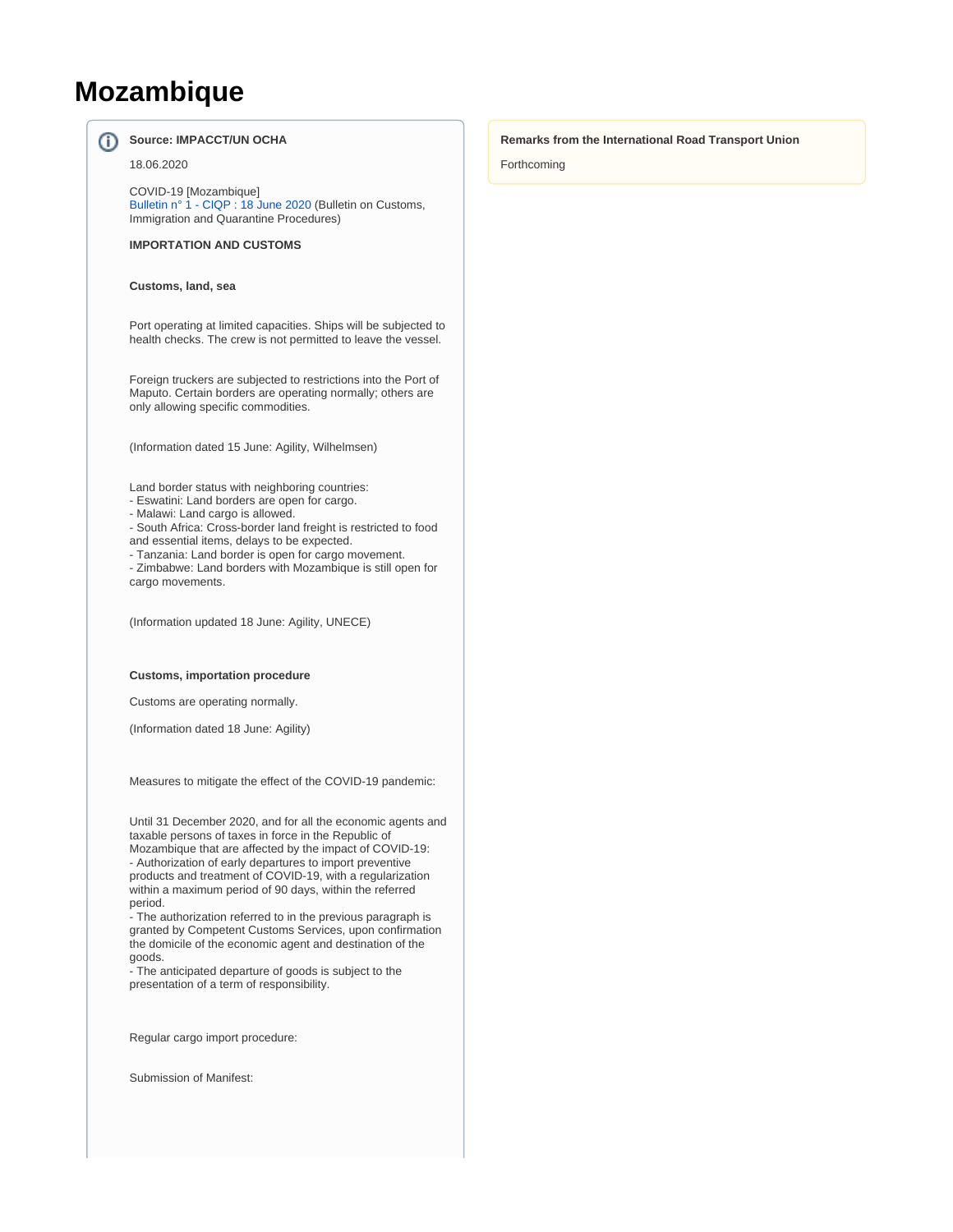## **Mozambique**

൘

**Source: IMPACCT/UN OCHA** 18.06.2020 COVID-19 [Mozambique] [Bulletin n° 1 - CIQP : 18 June 2020](https://wiki.unece.org/download/attachments/101548987/Mozambique%20-%20COVID-19%20-%20CIQP%20Bulletin%201.pdf?version=1&modificationDate=1594998304791&api=v2) (Bulletin on Customs, Immigration and Quarantine Procedures) **IMPORTATION AND CUSTOMS Customs, land, sea** Port operating at limited capacities. Ships will be subjected to health checks. The crew is not permitted to leave the vessel.

Foreign truckers are subjected to restrictions into the Port of Maputo. Certain borders are operating normally; others are only allowing specific commodities.

(Information dated 15 June: Agility, Wilhelmsen)

Land border status with neighboring countries:

- Eswatini: Land borders are open for cargo.

- Malawi: Land cargo is allowed.

- South Africa: Cross-border land freight is restricted to food and essential items, delays to be expected.

- Tanzania: Land border is open for cargo movement.

- Zimbabwe: Land borders with Mozambique is still open for cargo movements.

(Information updated 18 June: Agility, UNECE)

## **Customs, importation procedure**

Customs are operating normally.

(Information dated 18 June: Agility)

Measures to mitigate the effect of the COVID-19 pandemic:

Until 31 December 2020, and for all the economic agents and taxable persons of taxes in force in the Republic of Mozambique that are affected by the impact of COVID-19: - Authorization of early departures to import preventive products and treatment of COVID-19, with a regularization within a maximum period of 90 days, within the referred period.

- The authorization referred to in the previous paragraph is granted by Competent Customs Services, upon confirmation the domicile of the economic agent and destination of the goods.

- The anticipated departure of goods is subject to the presentation of a term of responsibility.

Regular cargo import procedure:

Submission of Manifest:

## **Remarks from the International Road Transport Union**

Forthcoming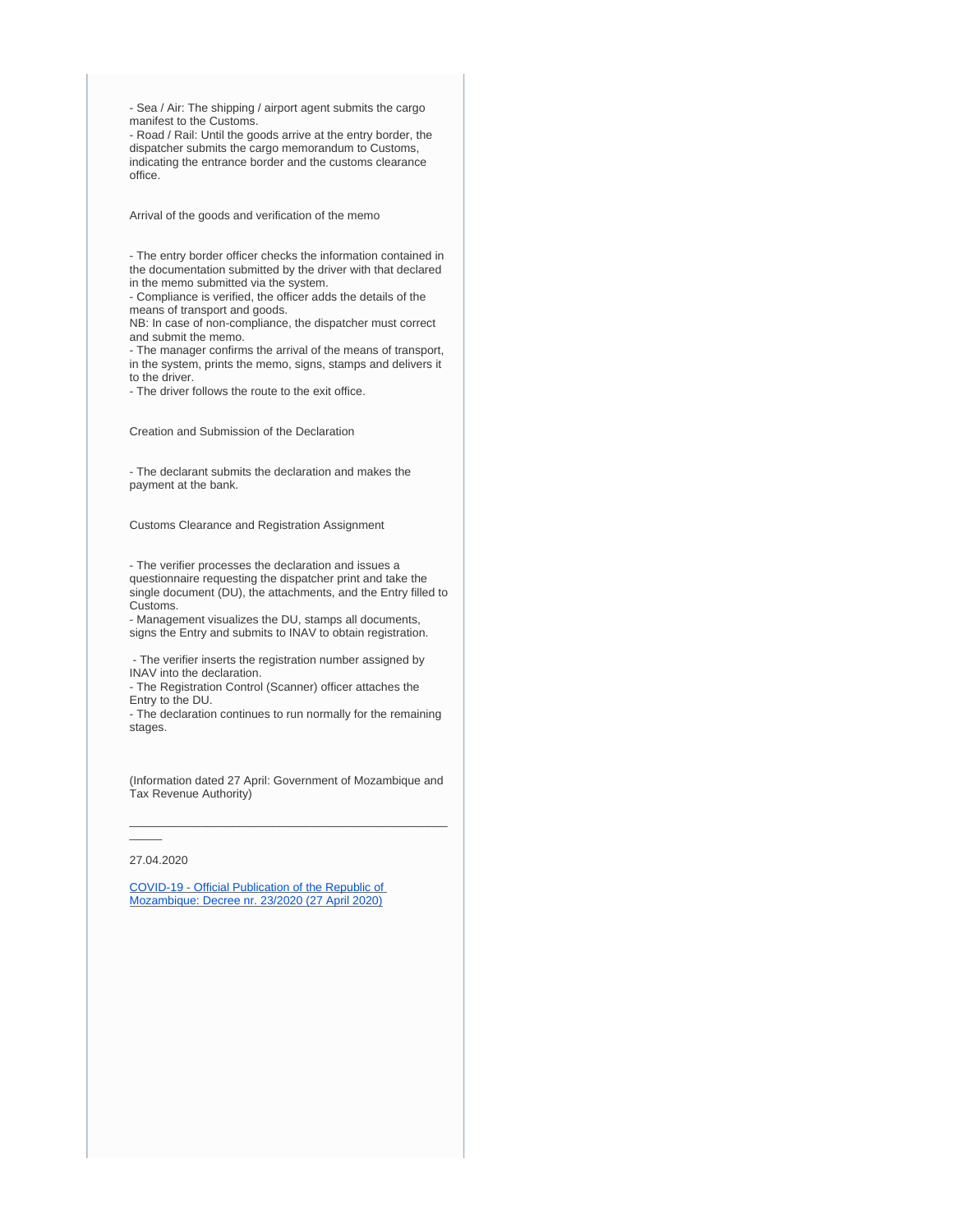- Sea / Air: The shipping / airport agent submits the cargo manifest to the Customs.

- Road / Rail: Until the goods arrive at the entry border, the dispatcher submits the cargo memorandum to Customs, indicating the entrance border and the customs clearance office.

Arrival of the goods and verification of the memo

- The entry border officer checks the information contained in the documentation submitted by the driver with that declared in the memo submitted via the system.

- Compliance is verified, the officer adds the details of the means of transport and goods.

NB: In case of non-compliance, the dispatcher must correct and submit the memo.

- The manager confirms the arrival of the means of transport, in the system, prints the memo, signs, stamps and delivers it to the driver.

- The driver follows the route to the exit office.

Creation and Submission of the Declaration

- The declarant submits the declaration and makes the payment at the bank.

Customs Clearance and Registration Assignment

- The verifier processes the declaration and issues a questionnaire requesting the dispatcher print and take the single document (DU), the attachments, and the Entry filled to Customs.

- Management visualizes the DU, stamps all documents, signs the Entry and submits to INAV to obtain registration.

 - The verifier inserts the registration number assigned by INAV into the declaration.

- The Registration Control (Scanner) officer attaches the Entry to the DU.

- The declaration continues to run normally for the remaining stages.

(Information dated 27 April: Government of Mozambique and Tax Revenue Authority)

\_\_\_\_\_\_\_\_\_\_\_\_\_\_\_\_\_\_\_\_\_\_\_\_\_\_\_\_\_\_\_\_\_\_\_\_\_\_\_\_\_\_\_\_\_\_\_\_\_

27.04.2020

[COVID-19 - Official Publication of the Republic of](https://wiki.unece.org/download/attachments/101548987/101396_Mozambique%20-%20Facilidades-aduaneiras-e-fiscais-com-vista-a-mitigar-os-efeitos-econ%C3%83%C2%B3micos-da-COVID-19.pdf?version=1&modificationDate=1594999907062&api=v2)  [Mozambique: Decree nr. 23/2020 \(27 April 2020\)](https://wiki.unece.org/download/attachments/101548987/101396_Mozambique%20-%20Facilidades-aduaneiras-e-fiscais-com-vista-a-mitigar-os-efeitos-econ%C3%83%C2%B3micos-da-COVID-19.pdf?version=1&modificationDate=1594999907062&api=v2)